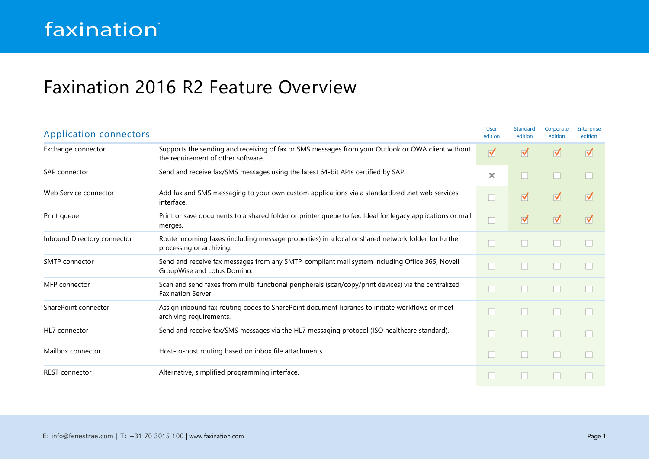## Faxination 2016 R2 Feature Overview

| <b>Application connectors</b> |                                                                                                                                         | <b>User</b><br>edition | <b>Standard</b><br>edition | Corporate<br>edition | Enterprise<br>edition |
|-------------------------------|-----------------------------------------------------------------------------------------------------------------------------------------|------------------------|----------------------------|----------------------|-----------------------|
| Exchange connector            | Supports the sending and receiving of fax or SMS messages from your Outlook or OWA client without<br>the requirement of other software. | M                      | ⊺                          | $\blacktriangledown$ | ⊺                     |
| SAP connector                 | Send and receive fax/SMS messages using the latest 64-bit APIs certified by SAP.                                                        | $\times$               |                            |                      |                       |
| Web Service connector         | Add fax and SMS messaging to your own custom applications via a standardized .net web services<br>interface.                            |                        | ☑                          | $\blacktriangledown$ | ⊺                     |
| Print queue                   | Print or save documents to a shared folder or printer queue to fax. Ideal for legacy applications or mail<br>merges.                    |                        | ⊺                          | $\blacktriangledown$ | ⊺                     |
| Inbound Directory connector   | Route incoming faxes (including message properties) in a local or shared network folder for further<br>processing or archiving.         |                        |                            |                      |                       |
| <b>SMTP</b> connector         | Send and receive fax messages from any SMTP-compliant mail system including Office 365, Novell<br>GroupWise and Lotus Domino.           |                        |                            |                      |                       |
| MFP connector                 | Scan and send faxes from multi-functional peripherals (scan/copy/print devices) via the centralized<br><b>Faxination Server.</b>        |                        | l.                         |                      |                       |
| SharePoint connector          | Assign inbound fax routing codes to SharePoint document libraries to initiate workflows or meet<br>archiving requirements.              |                        | H                          |                      |                       |
| HL7 connector                 | Send and receive fax/SMS messages via the HL7 messaging protocol (ISO healthcare standard).                                             |                        |                            |                      |                       |
| Mailbox connector             | Host-to-host routing based on inbox file attachments.                                                                                   |                        | H                          |                      |                       |
| <b>REST</b> connector         | Alternative, simplified programming interface.                                                                                          |                        |                            |                      |                       |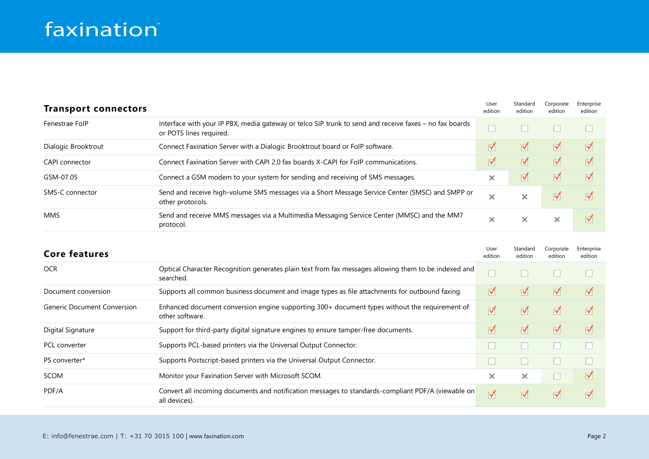## faxination®

| <b>Transport connectors</b> |                                                                                                                                   | User<br>edition         | Standard<br>edition  | Corporate<br>edition | Enterprise<br>edition   |
|-----------------------------|-----------------------------------------------------------------------------------------------------------------------------------|-------------------------|----------------------|----------------------|-------------------------|
| Fenestrae FolP              | Interface with your IP PBX, media gateway or telco SIP trunk to send and receive faxes - no fax boards<br>or POTS lines required. |                         |                      |                      |                         |
| Dialogic Brooktrout         | Connect Faxination Server with a Dialogic Brooktrout board or FoIP software.                                                      | M                       | ☑                    | ᢦ                    | M                       |
| <b>CAPI</b> connector       | Connect Faxination Server with CAPI 2.0 fax boards X-CAPI for FoIP communications.                                                | $\overline{\mathbf{v}}$ | ⊽                    | ⊽                    | M                       |
| GSM-07.05                   | Connect a GSM modem to your system for sending and receiving of SMS messages.                                                     | ×                       | $\blacktriangledown$ | ᢦ                    | M                       |
| SMS-C connector             | Send and receive high-volume SMS messages via a Short Message Service Center (SMSC) and SMPP or<br>other protocols.               | ×                       | $\times$             | ⊽                    | M                       |
| <b>MMS</b>                  | Send and receive MMS messages via a Multimedia Messaging Service Center (MMSC) and the MM7<br>protocol.                           | ×                       | ×                    | ×                    | $\overline{\mathbf{v}}$ |

| <b>Core features</b>               |                                                                                                                     | User<br>edition      | Standard<br>edition | Corporate<br>edition | Enterprise<br>edition |
|------------------------------------|---------------------------------------------------------------------------------------------------------------------|----------------------|---------------------|----------------------|-----------------------|
| <b>OCR</b>                         | Optical Character Recognition generates plain text from fax messages allowing them to be indexed and<br>searched.   |                      |                     |                      |                       |
| Document conversion                | Supports all common business document and image types as file attachments for outbound faxing.                      | ☑                    | ☑                   | ☑                    | $\triangledown$       |
| <b>Generic Document Conversion</b> | Enhanced document conversion engine supporting 300+ document types without the requirement of<br>other software.    | √                    | ⊺                   | ⊽                    | ⊺                     |
| Digital Signature                  | Support for third-party digital signature engines to ensure tamper-free documents.                                  | ⊽                    | ⊺                   | ☑                    | $\triangledown$       |
| <b>PCL</b> converter               | Supports PCL-based printers via the Universal Output Connector.                                                     |                      |                     |                      |                       |
| PS converter*                      | Supports Postscript-based printers via the Universal Output Connector.                                              |                      |                     |                      |                       |
| <b>SCOM</b>                        | Monitor your Faxination Server with Microsoft SCOM.                                                                 | ×                    | ×                   |                      | ⊺                     |
| PDF/A                              | Convert all incoming documents and notification messages to standards-compliant PDF/A (viewable on<br>all devices). | $\blacktriangledown$ | ☑                   | ☑                    | ⊺                     |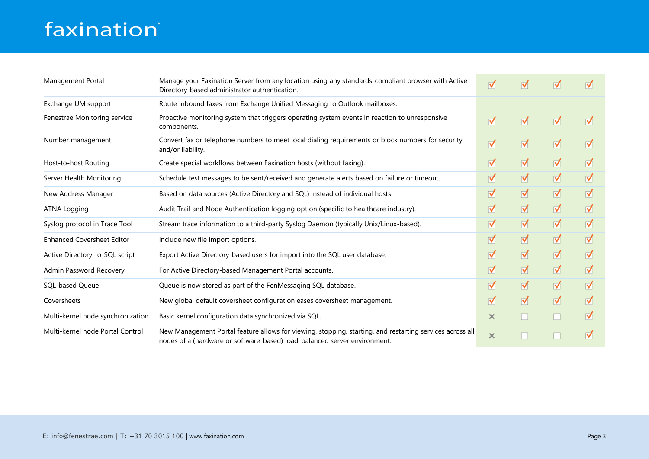## faxination®

| Management Portal                 | Manage your Faxination Server from any location using any standards-compliant browser with Active<br>Directory-based administrator authentication.                                    | √        | $\blacktriangledown$ | M                    | ⊺ |
|-----------------------------------|---------------------------------------------------------------------------------------------------------------------------------------------------------------------------------------|----------|----------------------|----------------------|---|
| Exchange UM support               | Route inbound faxes from Exchange Unified Messaging to Outlook mailboxes.                                                                                                             |          |                      |                      |   |
| Fenestrae Monitoring service      | Proactive monitoring system that triggers operating system events in reaction to unresponsive<br>components.                                                                          | ☑        | ⊺                    | $\triangledown$      | ⊺ |
| Number management                 | Convert fax or telephone numbers to meet local dialing requirements or block numbers for security<br>and/or liability.                                                                | ⊺        | ⊺                    | M                    | ⊺ |
| Host-to-host Routing              | Create special workflows between Faxination hosts (without faxing).                                                                                                                   | ☑        | M                    | ∀                    | M |
| Server Health Monitoring          | Schedule test messages to be sent/received and generate alerts based on failure or timeout.                                                                                           | ☑        | M                    | $\blacktriangledown$ | M |
| New Address Manager               | Based on data sources (Active Directory and SQL) instead of individual hosts.                                                                                                         | ⊺        | ⊺                    | $\blacktriangledown$ | ⊺ |
| <b>ATNA Logging</b>               | Audit Trail and Node Authentication logging option (specific to healthcare industry).                                                                                                 | ⊺        | ⊺                    | ∀                    | ⊺ |
| Syslog protocol in Trace Tool     | Stream trace information to a third-party Syslog Daemon (typically Unix/Linux-based).                                                                                                 | ⊺        | ∀                    | ∀                    | M |
| <b>Enhanced Coversheet Editor</b> | Include new file import options.                                                                                                                                                      | ⊺        | ⊺                    | ∀                    | ☑ |
| Active Directory-to-SQL script    | Export Active Directory-based users for import into the SQL user database.                                                                                                            | ☑        | ⊺                    | M                    | M |
| Admin Password Recovery           | For Active Directory-based Management Portal accounts.                                                                                                                                | ⊺        | ⊺                    | ∀                    | ☑ |
| SOL-based Oueue                   | Queue is now stored as part of the FenMessaging SQL database.                                                                                                                         | ☑        | M                    | ∀                    | ☑ |
| Coversheets                       | New global default coversheet configuration eases coversheet management.                                                                                                              | ☑        | M                    | ∀                    | M |
| Multi-kernel node synchronization | Basic kernel configuration data synchronized via SQL.                                                                                                                                 | ×        |                      |                      | M |
| Multi-kernel node Portal Control  | New Management Portal feature allows for viewing, stopping, starting, and restarting services across all<br>nodes of a (hardware or software-based) load-balanced server environment. | $\times$ |                      |                      | ⊺ |